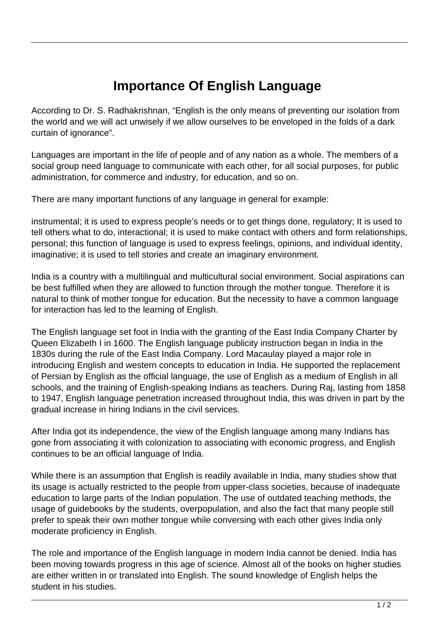## **Importance Of English Language**

According to Dr. S. Radhakrishnan, "English is the only means of preventing our isolation from the world and we will act unwisely if we allow ourselves to be enveloped in the folds of a dark curtain of ignorance".

Languages are important in the life of people and of any nation as a whole. The members of a social group need language to communicate with each other, for all social purposes, for public administration, for commerce and industry, for education, and so on.

There are many important functions of any language in general for example:

instrumental; it is used to express people's needs or to get things done, regulatory; It is used to tell others what to do, interactional; it is used to make contact with others and form relationships, personal; this function of language is used to express feelings, opinions, and individual identity, imaginative; it is used to tell stories and create an imaginary environment.

India is a country with a multilingual and multicultural social environment. Social aspirations can be best fulfilled when they are allowed to function through the mother tongue. Therefore it is natural to think of mother tongue for education. But the necessity to have a common language for interaction has led to the learning of English.

The English language set foot in India with the granting of the East India Company Charter by Queen Elizabeth I in 1600. The English language publicity instruction began in India in the 1830s during the rule of the East India Company. Lord Macaulay played a major role in introducing English and western concepts to education in India. He supported the replacement of Persian by English as the official language, the use of English as a medium of English in all schools, and the training of English-speaking Indians as teachers. During Raj, lasting from 1858 to 1947, English language penetration increased throughout India, this was driven in part by the gradual increase in hiring Indians in the civil services.

After India got its independence, the view of the English language among many Indians has gone from associating it with colonization to associating with economic progress, and English continues to be an official language of India.

While there is an assumption that English is readily available in India, many studies show that its usage is actually restricted to the people from upper-class societies, because of inadequate education to large parts of the Indian population. The use of outdated teaching methods, the usage of guidebooks by the students, overpopulation, and also the fact that many people still prefer to speak their own mother tongue while conversing with each other gives India only moderate proficiency in English.

The role and importance of the English language in modern India cannot be denied. India has been moving towards progress in this age of science. Almost all of the books on higher studies are either written in or translated into English. The sound knowledge of English helps the student in his studies.